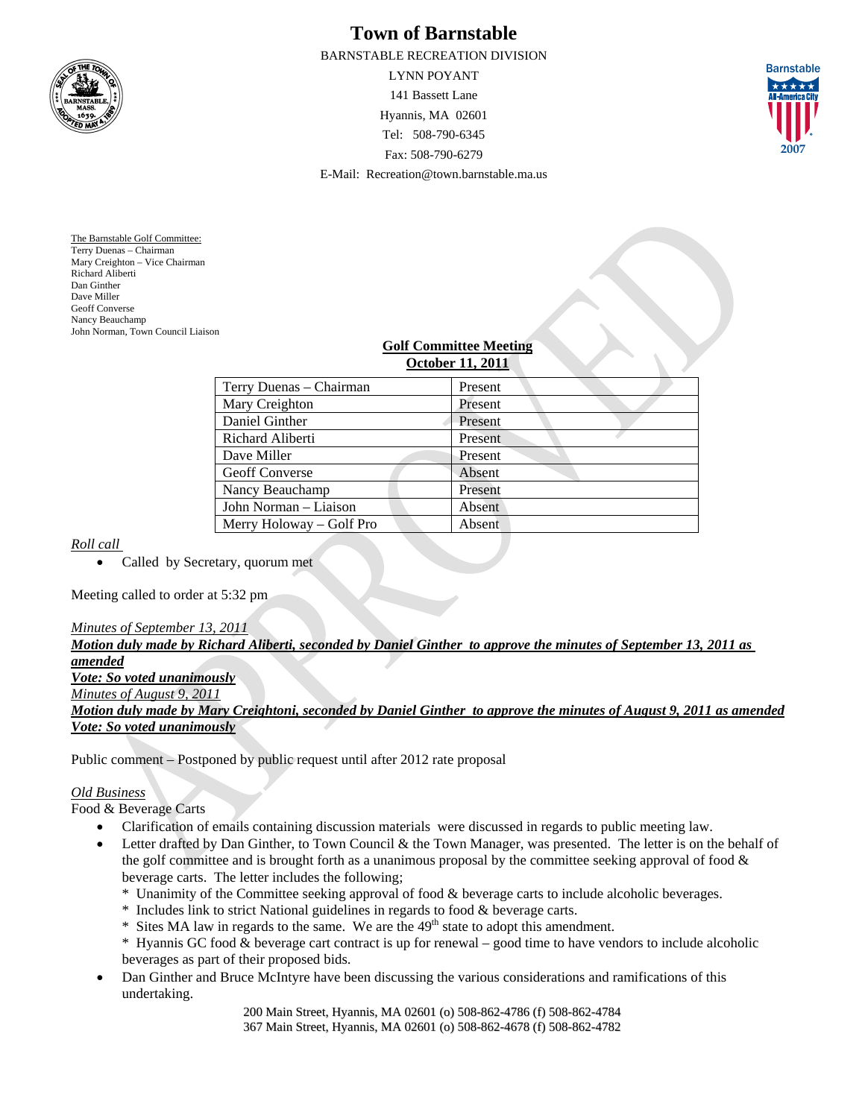

# **Town of Barnstable**

BARNSTABLE RECREATION DIVISION

LYNN POYANT 141 Bassett Lane Hyannis, MA 02601 Tel: 508-790-6345 Fax: 508-790-6279



E-Mail: Recreation@town.barnstable.ma.us

The Barnstable Golf Committee: Terry Duenas – Chairman Mary Creighton – Vice Chairman Richard Aliberti Dan Ginther Dave Miller Geoff Converse Nancy Beauchamp John Norman, Town Council Liaison

## **Golf Committee Meeting October 11, 2011**

| Terry Duenas - Chairman  | Present |
|--------------------------|---------|
| Mary Creighton           | Present |
| Daniel Ginther           | Present |
| Richard Aliberti         | Present |
| Dave Miller              | Present |
| <b>Geoff Converse</b>    | Absent  |
| Nancy Beauchamp          | Present |
| John Norman - Liaison    | Absent  |
| Merry Holoway – Golf Pro | Absent  |
|                          |         |

*Roll call* 

• Called by Secretary, quorum met

Meeting called to order at 5:32 pm

#### *Minutes of September 13, 2011*

*Motion duly made by Richard Aliberti, seconded by Daniel Ginther to approve the minutes of September 13, 2011 as amended* 

*Vote: So voted unanimously*

*Minutes of August 9, 2011*

*Motion duly made by Mary Creightoni, seconded by Daniel Ginther to approve the minutes of August 9, 2011 as amended Vote: So voted unanimously*

Public comment – Postponed by public request until after 2012 rate proposal

## *Old Business*

Food & Beverage Carts

- Clarification of emails containing discussion materials were discussed in regards to public meeting law.
- Letter drafted by Dan Ginther, to Town Council & the Town Manager, was presented. The letter is on the behalf of the golf committee and is brought forth as a unanimous proposal by the committee seeking approval of food  $\&$ beverage carts. The letter includes the following;
	- \* Unanimity of the Committee seeking approval of food & beverage carts to include alcoholic beverages.
	- \* Includes link to strict National guidelines in regards to food & beverage carts.
	- $*$  Sites MA law in regards to the same. We are the  $49<sup>th</sup>$  state to adopt this amendment.
	- \* Hyannis GC food & beverage cart contract is up for renewal good time to have vendors to include alcoholic beverages as part of their proposed bids.
- Dan Ginther and Bruce McIntyre have been discussing the various considerations and ramifications of this undertaking.

200 Main Street, Hyannis, MA 02601 (o) 508-862-4786 (f) 508-862-4784 367 Main Street, Hyannis, MA 02601 (o) 508-862-4678 (f) 508-862-4782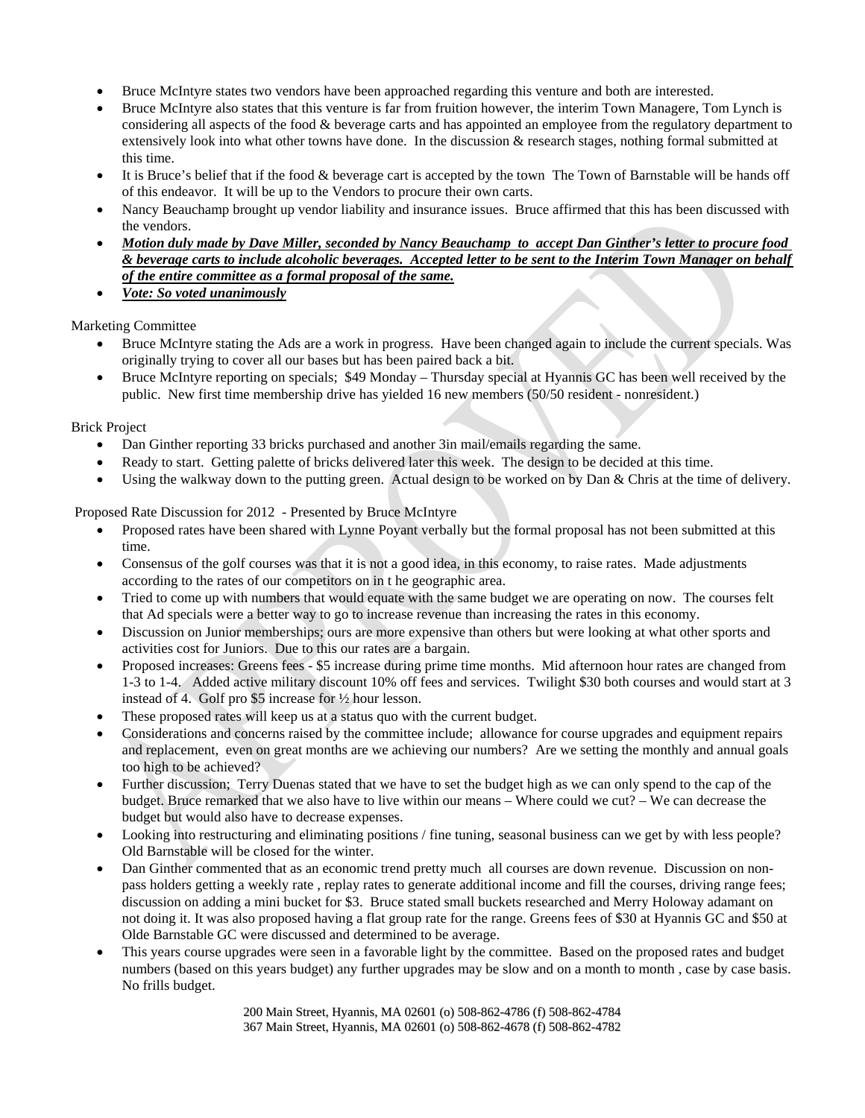- Bruce McIntyre states two vendors have been approached regarding this venture and both are interested.
- Bruce McIntyre also states that this venture is far from fruition however, the interim Town Managere, Tom Lynch is considering all aspects of the food & beverage carts and has appointed an employee from the regulatory department to extensively look into what other towns have done. In the discussion & research stages, nothing formal submitted at this time.
- It is Bruce's belief that if the food & beverage cart is accepted by the town The Town of Barnstable will be hands off of this endeavor. It will be up to the Vendors to procure their own carts.
- Nancy Beauchamp brought up vendor liability and insurance issues. Bruce affirmed that this has been discussed with the vendors.
- *Motion duly made by Dave Miller, seconded by Nancy Beauchamp to accept Dan Ginther's letter to procure food & beverage carts to include alcoholic beverages. Accepted letter to be sent to the Interim Town Manager on behalf of the entire committee as a formal proposal of the same.*
- *Vote: So voted unanimously*

### Marketing Committee

- Bruce McIntyre stating the Ads are a work in progress. Have been changed again to include the current specials. Was originally trying to cover all our bases but has been paired back a bit.
- Bruce McIntyre reporting on specials; \$49 Monday Thursday special at Hyannis GC has been well received by the public. New first time membership drive has yielded 16 new members (50/50 resident - nonresident.)

#### Brick Project

- Dan Ginther reporting 33 bricks purchased and another 3in mail/emails regarding the same.
- Ready to start. Getting palette of bricks delivered later this week. The design to be decided at this time.
- Using the walkway down to the putting green. Actual design to be worked on by Dan & Chris at the time of delivery.

Proposed Rate Discussion for 2012 - Presented by Bruce McIntyre

- Proposed rates have been shared with Lynne Poyant verbally but the formal proposal has not been submitted at this time.
- Consensus of the golf courses was that it is not a good idea, in this economy, to raise rates. Made adjustments according to the rates of our competitors on in t he geographic area.
- Tried to come up with numbers that would equate with the same budget we are operating on now. The courses felt that Ad specials were a better way to go to increase revenue than increasing the rates in this economy.
- Discussion on Junior memberships; ours are more expensive than others but were looking at what other sports and activities cost for Juniors. Due to this our rates are a bargain.
- Proposed increases: Greens fees \$5 increase during prime time months. Mid afternoon hour rates are changed from 1-3 to 1-4. Added active military discount 10% off fees and services. Twilight \$30 both courses and would start at 3 instead of 4. Golf pro \$5 increase for ½ hour lesson.
- These proposed rates will keep us at a status quo with the current budget.
- Considerations and concerns raised by the committee include; allowance for course upgrades and equipment repairs and replacement, even on great months are we achieving our numbers? Are we setting the monthly and annual goals too high to be achieved?
- Further discussion; Terry Duenas stated that we have to set the budget high as we can only spend to the cap of the budget. Bruce remarked that we also have to live within our means – Where could we cut? – We can decrease the budget but would also have to decrease expenses.
- Looking into restructuring and eliminating positions / fine tuning, seasonal business can we get by with less people? Old Barnstable will be closed for the winter.
- Dan Ginther commented that as an economic trend pretty much all courses are down revenue. Discussion on nonpass holders getting a weekly rate , replay rates to generate additional income and fill the courses, driving range fees; discussion on adding a mini bucket for \$3. Bruce stated small buckets researched and Merry Holoway adamant on not doing it. It was also proposed having a flat group rate for the range. Greens fees of \$30 at Hyannis GC and \$50 at Olde Barnstable GC were discussed and determined to be average.
- This years course upgrades were seen in a favorable light by the committee. Based on the proposed rates and budget numbers (based on this years budget) any further upgrades may be slow and on a month to month , case by case basis. No frills budget.

200 Main Street, Hyannis, MA 02601 (o) 508-862-4786 (f) 508-862-4784 367 Main Street, Hyannis, MA 02601 (o) 508-862-4678 (f) 508-862-4782